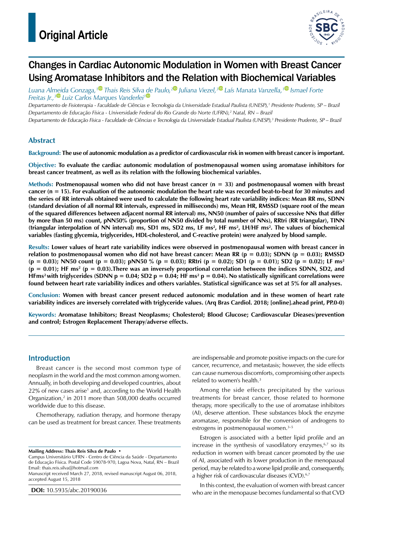

# Changes in Cardiac Autonomic Modulation in Women with Breast Cancer Using Aromatase Inhibitors and the Relation with Biochemical Variables

*Luana Almeida Gonzaga,[1](https://orcid.org/0000-0001-9864-8793) Thais Reis Silv[a de](https://orcid.org/0000-0002-1891-3153) Paulo,[2](https://orcid.org/0000-0002.0307.9151) Juliana Viezel,[3](https://orcid.org/0000-0003-0282-8920) Laís Manata Vanzella,[1](https://orcid.org/0000-0002-9494-3143) Ismael Forte Freitas Jr.,[3](https://orcid.org/0000-0002-5071-0428) Luiz Carlos Marques Vanderlei1*

*Departamento de Fisioterapia - Faculdade de Ciências e Tecnologia da Universidade Estadual Paulista (UNESP),1 Presidente Prudente, SP – Brazil Departamento de Educação Física - Universidade Federal do Rio Grande do Norte (UFRN),2 Natal, RN – Brazil*

*Departamento de Educação Física - Faculdade de Ciências e Tecnologia da Universidade Estadual Paulista (UNESP),3 Presidente Prudente, SP – Brazil*

## **Abstract**

#### **Background: The use of autonomic modulation as a predictor of cardiovascular risk in women with breast cancer is important.**

**Objective: To evaluate the cardiac autonomic modulation of postmenopausal women using aromatase inhibitors for breast cancer treatment, as well as its relation with the following biochemical variables.**

**Methods: Postmenopausal women who did not have breast cancer (n = 33) and postmenopausal women with breast cancer (n = 15). For evaluation of the autonomic modulation the heart rate was recorded beat-to-beat for 30 minutes and the series of RR intervals obtained were used to calculate the following heart rate variability indices: Mean RR ms, SDNN (standard deviation of all normal RR intervals, expressed in milliseconds) ms, Mean HR, RMSSD (square root of the mean of the squared differences between adjacent normal RR interval) ms, NN50 (number of pairs of successive NNs that differ by more than 50 ms) count, pNN50% (proportion of NN50 divided by total number of NNs), RRtri (RR triangular), TINN**  (triangular interpolation of NN interval) ms, SD1 ms, SD2 ms, LF ms<sup>2</sup>, HF ms<sup>2</sup>, LH/HF ms<sup>2</sup>. The values of biochemical **variables (fasting glycemia, triglycerides, HDL-cholesterol, and C-reactive protein) were analyzed by blood sample.**

**Results: Lower values of heart rate variability indices were observed in postmenopausal women with breast cancer in relation to postmenopausal women who did not have breast cancer: Mean RR (p = 0.03); SDNN (p = 0.03); RMSSD (p = 0.03); NN50 count (p = 0.03); pNN50 % (p = 0.03); RRtri (p = 0.02); SD1 (p = 0.01); SD2 (p = 0.02); LF ms2 (p = 0.01); HF ms2 (p = 0.03).There was an inversely proportional correlation between the indices SDNN, SD2, and HFms2 with triglycerides (SDNN p = 0.04; SD2 p = 0.04; HF ms2 p = 0.04). No statistically significant correlations were found between heart rate variability indices and others variables. Statistical significance was set at 5% for all analyses.**

**Conclusion: Women with breast cancer present reduced autonomic modulation and in these women of heart rate variability indices are inversely correlated with triglyceride values. (Arq Bras Cardiol. 2018; [online].ahead print, PP.0-0)**

**Keywords: Aromatase Inhibitors; Breast Neoplasms; Cholesterol; Blood Glucose; Cardiovascular Dieases/prevention and control; Estrogen Replacement Therapy/adverse effects.**

## Introduction

Breast cancer is the second most common type of neoplasm in the world and the most common among women. Annually, in both developing and developed countries, about 22% of new cases arise<sup>1</sup> and, according to the World Health Organization,<sup>2</sup> in 2011 more than 508,000 deaths occurred worldwide due to this disease.

Chemotherapy, radiation therapy, and hormone therapy can be used as treatment for breast cancer. These treatments

**Mailing Address: Thais Reis Silva de Paulo •**

**DOI:** 10.5935/abc.20190036

are indispensable and promote positive impacts on the cure for cancer, recurrence, and metastasis; however, the side effects can cause numerous discomforts, compromising other aspects related to women's health.<sup>3</sup>

Among the side effects precipitated by the various treatments for breast cancer, those related to hormone therapy, more specifically to the use of aromatase inhibitors (AI), deserve attention. These substances block the enzyme aromatase, responsible for the conversion of androgens to estrogens in postmenopausal women.3–5

Estrogen is associated with a better lipid profile and an increase in the synthesis of vasodilatory enzymes, $67$  so its reduction in women with breast cancer promoted by the use of AI, associated with its lower production in the menopausal period, may be related to a worse lipid profile and, consequently, a higher risk of cardiovascular diseases (CVD).<sup>6,7</sup>

In this context, the evaluation of women with breast cancer who are in the menopause becomes fundamental so that CVD

Campus Universitário UFRN - Centro de Ciência da Saúde - Departamento de Educação Física. Postal Code 59078-970, Lagoa Nova, Natal, RN – Brazil Email: thais.reis.silva@hotmail.com

Manuscript received March 27, 2018, revised manuscript August 06, 2018, accepted August 15, 2018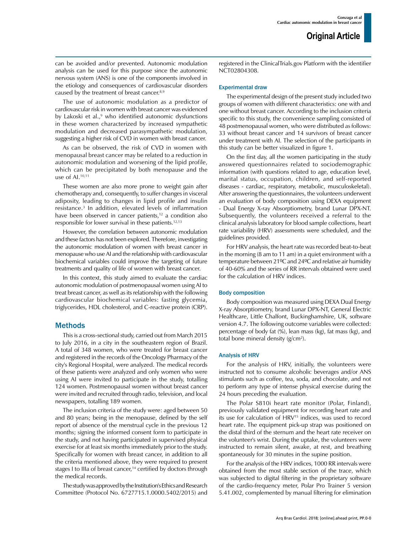can be avoided and/or prevented. Autonomic modulation analysis can be used for this purpose since the autonomic nervous system (ANS) is one of the components involved in the etiology and consequences of cardiovascular disorders caused by the treatment of breast cancer.<sup>8,9</sup>

The use of autonomic modulation as a predictor of cardiovascular risk in women with breast cancer was evidenced by Lakoski et al.,<sup>9</sup> who identified autonomic dysfunctions in these women characterized by increased sympathetic modulation and decreased parasympathetic modulation, suggesting a higher risk of CVD in women with breast cancer.

As can be observed, the risk of CVD in women with menopausal breast cancer may be related to a reduction in autonomic modulation and worsening of the lipid profile, which can be precipitated by both menopause and the use of AI.10,11

These women are also more prone to weight gain after chemotherapy and, consequently, to suffer changes in visceral adiposity, leading to changes in lipid profile and insulin resistance.3 In addition, elevated levels of inflammation have been observed in cancer patients, $12$  a condition also responsible for lower survival in these patients.12,13

However, the correlation between autonomic modulation and these factors has not been explored. Therefore, investigating the autonomic modulation of women with breast cancer in menopause who use AI and the relationship with cardiovascular biochemical variables could improve the targeting of future treatments and quality of life of women with breast cancer.

In this context, this study aimed to evaluate the cardiac autonomic modulation of postmenopausal women using AI to treat breast cancer, as well as its relationship with the following cardiovascular biochemical variables: fasting glycemia, triglycerides, HDL cholesterol, and C-reactive protein (CRP).

## Methods

This is a cross-sectional study, carried out from March 2015 to July 2016, in a city in the southeastern region of Brazil. A total of 348 women, who were treated for breast cancer and registered in the records of the Oncology Pharmacy of the city's Regional Hospital, were analyzed. The medical records of these patients were analyzed and only women who were using AI were invited to participate in the study, totalling 124 women. Postmenopausal women without breast cancer were invited and recruited through radio, television, and local newspapers, totalling 189 women.

The inclusion criteria of the study were: aged between 50 and 80 years; being in the menopause, defined by the self report of absence of the menstrual cycle in the previous 12 months; signing the informed consent form to participate in the study, and not having participated in supervised physical exercise for at least six months immediately prior to the study. Specifically for women with breast cancer, in addition to all the criteria mentioned above, they were required to present stages I to IIIa of breast cancer,<sup>14</sup> certified by doctors through the medical records.

The study was approved by the Institution's Ethics and Research Committee (Protocol No. 6727715.1.0000.5402/2015) and registered in the ClinicalTrials.gov Platform with the identifier NCT02804308.

#### Experimental draw

The experimental design of the present study included two groups of women with different characteristics: one with and one without breast cancer. According to the inclusion criteria specific to this study, the convenience sampling consisted of 48 postmenopausal women, who were distributed as follows: 33 without breast cancer and 14 survivors of breast cancer under treatment with AI. The selection of the participants in this study can be better visualized in figure 1.

On the first day, all the women participating in the study answered questionnaires related to sociodemographic information (with questions related to age, education level, marital status, occupation, children, and self-reported diseases - cardiac, respiratory, metabolic, musculoskeletal). After answering the questionnaires, the volunteers underwent an evaluation of body composition using DEXA equipment - Dual Energy X-ray Absorptiometry, brand Lunar DPX-NT. Subsequently, the volunteers received a referral to the clinical analysis laboratory for blood sample collections, heart rate variability (HRV) assessments were scheduled, and the guidelines provided.

For HRV analysis, the heart rate was recorded beat-to-beat in the morning (8 am to 11 am) in a quiet environment with a temperature between 21ºC and 24ºC and relative air humidity of 40-60% and the series of RR intervals obtained were used for the calculation of HRV indices.

#### Body composition

Body composition was measured using DEXA Dual Energy X-ray Absorptiometry, brand Lunar DPX-NT, General Electric Healthcare, Little Chalfont, Buckinghamshire, UK, software version 4.7. The following outcome variables were collected: percentage of body fat (%), lean mass (kg), fat mass (kg), and total bone mineral density (g/cm<sup>2</sup>).

#### Analysis of HRV

For the analysis of HRV, initially, the volunteers were instructed not to consume alcoholic beverages and/or ANS stimulants such as coffee, tea, soda, and chocolate, and not to perform any type of intense physical exercise during the 24 hours preceding the evaluation.

The Polar S810i heart rate monitor (Polar, Finland), previously validated equipment for recording heart rate and its use for calculation of HRV15 indices, was used to record heart rate. The equipment pick-up strap was positioned on the distal third of the sternum and the heart rate receiver on the volunteer's wrist. During the uptake, the volunteers were instructed to remain silent, awake, at rest, and breathing spontaneously for 30 minutes in the supine position.

For the analysis of the HRV indices, 1000 RR intervals were obtained from the most stable section of the trace, which was subjected to digital filtering in the proprietary software of the cardio-frequency meter, Polar Pro Trainer 5 version 5.41.002, complemented by manual filtering for elimination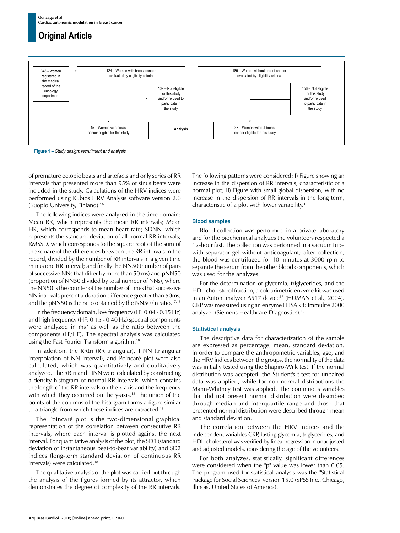

**Figure 1 –** *Study design: recruitment and analysis.*

of premature ectopic beats and artefacts and only series of RR intervals that presented more than 95% of sinus beats were included in the study. Calculations of the HRV indices were performed using Kubios HRV Analysis software version 2.0 (Kuopio University, Finland).16

The following indices were analyzed in the time domain: Mean RR, which represents the mean RR intervals; Mean HR, which corresponds to mean heart rate; SDNN, which represents the standard deviation of all normal RR intervals; RMSSD, which corresponds to the square root of the sum of the square of the differences between the RR intervals in the record, divided by the number of RR intervals in a given time minus one RR interval; and finally the NN50 (number of pairs of successive NNs that differ by more than 50 ms) and pNN50 (proportion of NN50 divided by total number of NNs), where the NN50 is the counter of the number of times that successive NN intervals present a duration difference greater than 50ms, and the pNN50 is the ratio obtained by the NN50 / n ratio.<sup>17,18</sup>

In the frequency domain, low frequency (LF: 0.04 - 0.15 Hz) and high frequency (HF: 0.15 - 0.40 Hz) spectral components were analyzed in ms² as well as the ratio between the components (LF/HF). The spectral analysis was calculated using the Fast Fourier Transform algorithm.18

In addition, the RRtri (RR triangular), TINN (triangular interpolation of NN interval), and Poincaré plot were also calculated, which was quantitatively and qualitatively analyzed. The RRtri and TINN were calculated by constructing a density histogram of normal RR intervals, which contains the length of the RR intervals on the x-axis and the frequency with which they occurred on the y-axis.<sup>18</sup> The union of the points of the columns of the histogram forms a figure similar to a triangle from which these indices are extracted.18

The Poincaré plot is the two-dimensional graphical representation of the correlation between consecutive RR intervals, where each interval is plotted against the next interval. For quantitative analysis of the plot, the SD1 (standard deviation of instantaneous beat-to-beat variability) and SD2 indices (long-term standard deviation of continuous RR intervals) were calculated.18

The qualitative analysis of the plot was carried out through the analysis of the figures formed by its attractor, which demonstrates the degree of complexity of the RR intervals.

The following patterns were considered: I) Figure showing an increase in the dispersion of RR intervals, characteristic of a normal plot; II) Figure with small global dispersion, with no increase in the dispersion of RR intervals in the long term, characteristic of a plot with lower variability.19

## Blood samples

Blood collection was performed in a private laboratory and for the biochemical analyzes the volunteers respected a 12-hour fast. The collection was performed in a vacuum tube with separator gel without anticoagulant; after collection, the blood was centrifuged for 10 minutes at 3000 rpm to separate the serum from the other blood components, which was used for the analyzes.

For the determination of glycemia, triglycerides, and the HDL-cholesterol fraction, a colourimetric enzyme kit was used in an Autohumalyzer A517 device<sup>17</sup> (HUMAN et al., 2004). CRP was measured using an enzyme ELISA kit: Immulite 2000 analyzer (Siemens Healthcare Diagnostics).20

#### Statistical analysis

The descriptive data for characterization of the sample are expressed as percentage, mean, standard deviation. In order to compare the anthropometric variables, age, and the HRV indices between the groups, the normality of the data was initially tested using the Shapiro-Wilk test. If the normal distribution was accepted, the Student's t-test for unpaired data was applied, while for non-normal distributions the Mann-Whitney test was applied. The continuous variables that did not present normal distribution were described through median and interquartile range and those that presented normal distribution were described through mean and standard deviation.

The correlation between the HRV indices and the independent variables CRP, fasting glycemia, triglycerides, and HDL-cholesterol was verified by linear regression in unadjusted and adjusted models, considering the age of the volunteers.

For both analyzes, statistically, significant differences were considered when the "p" value was lower than 0.05. The program used for statistical analysis was the "Statistical Package for Social Sciences" version 15.0 (SPSS Inc., Chicago, Illinois, United States of America).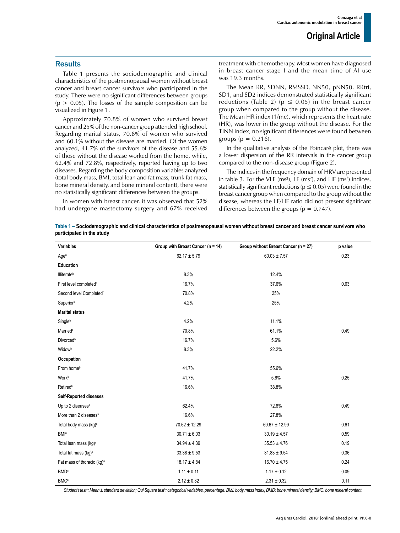## **Results**

Table 1 presents the sociodemographic and clinical characteristics of the postmenopausal women without breast cancer and breast cancer survivors who participated in the study. There were no significant differences between groups  $(p > 0.05)$ . The losses of the sample composition can be visualized in Figure 1.

Approximately 70.8% of women who survived breast cancer and 25% of the non-cancer group attended high school. Regarding marital status, 70.8% of women who survived and 60.1% without the disease are married. Of the women analyzed, 41.7% of the survivors of the disease and 55.6% of those without the disease worked from the home, while, 62.4% and 72.8%, respectively, reported having up to two diseases. Regarding the body composition variables analyzed (total body mass, BMI, total lean and fat mass, trunk fat mass, bone mineral density, and bone mineral content), there were no statistically significant differences between the groups.

In women with breast cancer, it was observed that 52% had undergone mastectomy surgery and 67% received treatment with chemotherapy. Most women have diagnosed in breast cancer stage I and the mean time of AI use was 19.3 months.

The Mean RR, SDNN, RMSSD, NN50, pNN50, RRtri, SD1, and SD2 indices demonstrated statistically significant reductions (Table 2) ( $p \le 0.05$ ) in the breast cancer group when compared to the group without the disease. The Mean HR index (1/me), which represents the heart rate (HR), was lower in the group without the disease. For the TINN index, no significant differences were found between groups ( $p = 0.216$ ).

In the qualitative analysis of the Poincaré plot, there was a lower dispersion of the RR intervals in the cancer group compared to the non-disease group (Figure 2).

The indices in the frequency domain of HRV are presented in table 3. For the VLF (ms<sup>2</sup>), LF (ms<sup>2</sup>), and HF (ms<sup>2</sup>) indices, statistically significant reductions ( $p \le 0.05$ ) were found in the breast cancer group when compared to the group without the disease, whereas the LF/HF ratio did not present significant differences between the groups ( $p = 0.747$ ).

**Table 1 – Sociodemographic and clinical characteristics of postmenopausal women without breast cancer and breast cancer survivors who participated in the study**

| Variables                              | Group with Breast Cancer (n = 14) | Group without Breast Cancer (n = 27) | p value |
|----------------------------------------|-----------------------------------|--------------------------------------|---------|
| Age <sup>a</sup>                       | $62.17 \pm 5.79$                  | $60.03 \pm 7.57$                     | 0.23    |
| Education                              |                                   |                                      |         |
| <b>Illiterate</b> <sup>b</sup>         | 8.3%                              | 12.4%                                |         |
| First level completed <sup>b</sup>     | 16.7%                             | 37.6%                                | 0.63    |
| Second level Completed <sup>b</sup>    | 70.8%                             | 25%                                  |         |
| Superior <sup>b</sup>                  | 4.2%                              | 25%                                  |         |
| <b>Marital status</b>                  |                                   |                                      |         |
| Single <sup>b</sup>                    | 4.2%                              | 11.1%                                |         |
| Married <sup>b</sup>                   | 70.8%                             | 61.1%                                | 0.49    |
| <b>Divorced</b> <sup>b</sup>           | 16.7%                             | 5.6%                                 |         |
| <b>Widow</b> <sup>b</sup>              | 8.3%                              | 22.2%                                |         |
| Occupation                             |                                   |                                      |         |
| From home <sup>b</sup>                 | 41.7%                             | 55.6%                                |         |
| Workb                                  | 41.7%                             | 5.6%                                 | 0.25    |
| <b>Retired</b> <sup>b</sup>            | 16.6%                             | 38.8%                                |         |
| <b>Self-Reported diseases</b>          |                                   |                                      |         |
| Up to 2 diseases <sup>b</sup>          | 62.4%                             | 72.8%                                | 0.49    |
| More than 2 diseases <sup>b</sup>      | 16.6%                             | 27.8%                                |         |
| Total body mass (kg) <sup>a</sup>      | $70.62 \pm 12.29$                 | $69.67 \pm 12.99$                    | 0.61    |
| <b>BMI</b> <sup>a</sup>                | $30.71 \pm 6.03$                  | $30.19 \pm 4.57$                     | 0.59    |
| Total lean mass (kg) <sup>a</sup>      | $34.94 \pm 4.39$                  | $35.53 \pm 4.76$                     | 0.19    |
| Total fat mass (kg) <sup>a</sup>       | $33.38 \pm 9.53$                  | $31.83 \pm 9.54$                     | 0.36    |
| Fat mass of thoracic (kg) <sup>a</sup> | $18.17 \pm 4.84$                  | $16.70 \pm 4.75$                     | 0.24    |
| <b>BMD</b> <sup>a</sup>                | $1.11 \pm 0.11$                   | $1.17 \pm 0.12$                      | 0.09    |
| <b>BMC</b> <sup>a</sup>                | $2.12 \pm 0.32$                   | $2.31 \pm 0.32$                      | 0.11    |

Student t test<sup>e</sup>: Mean ± standard deviation; Qui Square test<sup>e</sup>: categorical variables, percentage. BMI: body mass index; BMD: bone mineral density; BMC: bone mineral content.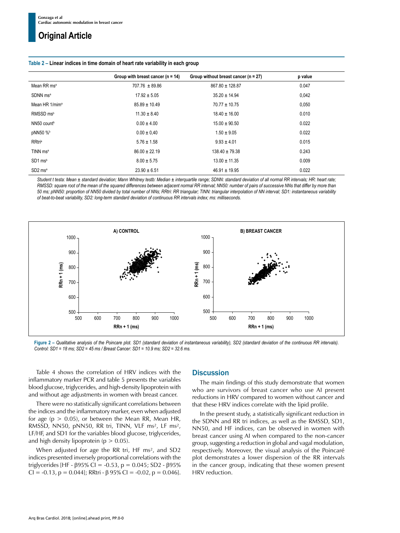|                                 | Group with breast cancer ( $n = 14$ ) | Group without breast cancer ( $n = 27$ ) | p value |  |
|---------------------------------|---------------------------------------|------------------------------------------|---------|--|
| Mean RR ms <sup>a</sup>         | $707.76 \pm 89.86$                    | 867.80 ± 128.87                          | 0.047   |  |
| SDNN ms <sup>a</sup>            | $17.92 \pm 5.05$                      | $35.20 \pm 14.94$                        | 0,042   |  |
| Mean HR 1/mim <sup>a</sup>      | $85.89 \pm 10.49$                     | $70.77 \pm 10.75$                        | 0,050   |  |
| RMSSD <sub>msb</sub>            | $11.30 \pm 8.40$                      | $18.40 \pm 16.00$                        | 0.010   |  |
| NN50 count <sup>b</sup>         | $0.00 \pm 4.00$                       | $15.00 \pm 90.50$                        | 0.022   |  |
| pNN50 %                         | $0.00 \pm 0.40$                       | $1.50 \pm 9.05$                          | 0.022   |  |
| <b>RRtria</b>                   | $5.76 \pm 1.58$                       | $9.93 \pm 4.01$                          | 0.015   |  |
| TINN ms <sup>a</sup>            | $86.00 \pm 22.19$                     | $138.40 \pm 79.38$                       | 0.243   |  |
| $SD1$ ms <sup>b</sup>           | $8.00 \pm 5.75$                       | $13.00 \pm 11.35$                        | 0.009   |  |
| SD <sub>2</sub> ms <sup>a</sup> | $23.90 \pm 6.51$                      | $46.91 \pm 19.95$                        | 0.022   |  |

#### **Table 2 – Linear indices in time domain of heart rate variability in each group**

*Student t testa: Mean ± standard deviation; Mann Whitney testb: Median ± interquartile range; SDNN: standard deviation of all normal RR intervals; HR: heart rate; RMSSD: square root of the mean of the squared differences between adjacent normal RR interval; NN50: number of pairs of successive NNs that differ by more than 50 ms; pNN50: proportion of NN50 divided by total number of NNs; RRtri: RR triangular; TINN: triangular interpolation of NN interval; SD1: instantaneous variability of beat-to-beat variability, SD2: long-term standard deviation of continuous RR intervals index; ms: milliseconds.*



**Figure 2 –** *Qualitative analysis of the Poincare plot. SD1 (standard deviation of instantaneous variability), SD2 (standard deviation of the continuous RR intervals). Control: SD1 = 18 ms; SD2 = 45 ms / Breast Cancer: SD1 = 10.9 ms; SD2 = 32.6 ms.*

Table 4 shows the correlation of HRV indices with the inflammatory marker PCR and table 5 presents the variables blood glucose, triglycerides, and high-density lipoprotein with and without age adjustments in women with breast cancer.

There were no statistically significant correlations between the indices and the inflammatory marker, even when adjusted for age ( $p > 0.05$ ), or between the Mean RR, Mean HR, RMSSD, NN50, pNN50, RR tri, TINN, VLF ms<sup>2</sup>, LF ms<sup>2</sup>, LF/HF, and SD1 for the variables blood glucose, triglycerides, and high density lipoprotein ( $p > 0.05$ ).

When adjusted for age the RR tri, HF ms<sup>2</sup>, and SD2 indices presented inversely proportional correlations with the triglycerides [HF - β95% CI = -0.53, p = 0.045; SD2 - β95% CI = -0.13, p = 0.044]; RRtri - β 95% CI = -0.02, p = 0.046].

## **Discussion**

The main findings of this study demonstrate that women who are survivors of breast cancer who use AI present reductions in HRV compared to women without cancer and that these HRV indices correlate with the lipid profile.

In the present study, a statistically significant reduction in the SDNN and RR tri indices, as well as the RMSSD, SD1, NN50, and HF indices, can be observed in women with breast cancer using AI when compared to the non-cancer group, suggesting a reduction in global and vagal modulation, respectively. Moreover, the visual analysis of the Poincaré plot demonstrates a lower dispersion of the RR intervals in the cancer group, indicating that these women present HRV reduction.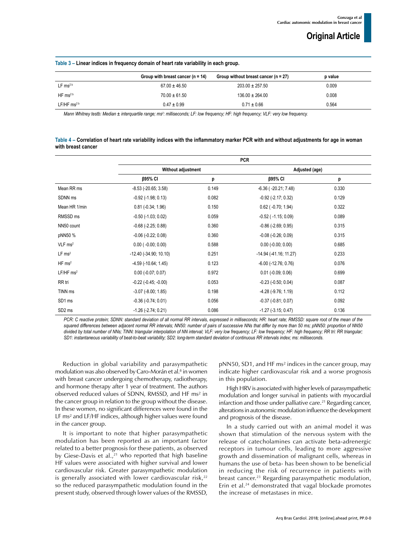| Table 3 - Linear indices in frequency domain of heart rate variability in each group. |  |
|---------------------------------------------------------------------------------------|--|
|---------------------------------------------------------------------------------------|--|

|                          | Group with breast cancer $(n = 14)$ | Group without breast cancer ( $n = 27$ ) | p value |  |
|--------------------------|-------------------------------------|------------------------------------------|---------|--|
|                          |                                     |                                          |         |  |
| LF ms <sup>2 b</sup>     | $67.00 \pm 46.50$                   | $203.00 \pm 257.50$                      | 0.009   |  |
| HF $ms2b$                | $70.00 \pm 61.50$                   | $136.00 \pm 264.00$                      | 0.008   |  |
| $LF/HF$ ms <sup>2b</sup> | $0.47 \pm 0.99$                     | $0.71 \pm 0.66$                          | 0.564   |  |

*Mann Whitney testb: Median ± interquartile range; ms2 : milliseconds; LF: low frequency; HF: high frequency; VLF: very low frequency.*

| Table 4 - Correlation of heart rate variability indices with the inflammatory marker PCR with and without adjustments for age in woman |  |
|----------------------------------------------------------------------------------------------------------------------------------------|--|
| with breast cancer                                                                                                                     |  |

|                         |                             |       | <b>PCR</b>                    |       |
|-------------------------|-----------------------------|-------|-------------------------------|-------|
|                         | Without adjustment          |       | Adjusted (age)                |       |
|                         | β95% CI                     | p     | β95% CI                       | p     |
| Mean RR ms              | $-8.53$ ( $-20.65$ ; 3.58)  | 0.149 | $-6.36$ ( $-20.21$ ; $7.48$ ) | 0.330 |
| SDNN <sub>ms</sub>      | $-0.92$ ( $-1.98$ ; 0.13)   | 0.082 | $-0.92$ ( $-2.17$ ; 0.32)     | 0.129 |
| Mean HR 1/min           | $0.81$ (-0.34; 1.96)        | 0.150 | $0.62$ ( $-0.70$ ; 1.94)      | 0.322 |
| RMSSD <sub>ms</sub>     | $-0.50$ $(-1.03; 0.02)$     | 0.059 | $-0.52$ ( $-1.15$ ; 0.09)     | 0.089 |
| NN50 count              | $-0.68$ $(-2.25; 0.88)$     | 0.360 | $-0.86$ $(-2.69; 0.95)$       | 0.315 |
| pNN50 %                 | $-0.06$ $(-0.22; 0.08)$     | 0.360 | $-0.08$ $(-0.26; 0.09)$       | 0.315 |
| $VLF$ ms <sup>2</sup>   | $0.00$ ( $-0.00$ ; $0.00$ ) | 0.588 | $0.00$ (-0.00; 0.00)          | 0.685 |
| LF ms <sup>2</sup>      | $-12.40$ $(-34.90; 10.10)$  | 0.251 | $-14.94$ ( $-41.16$ ; 11.27)  | 0.233 |
| $HF$ ms <sup>2</sup>    | $-4.59$ ( $-10.64$ ; 1.45)  | 0.123 | $-6.00$ $(-12.76; 0.76)$      | 0.076 |
| $LF/HF$ ms <sup>2</sup> | $0.00$ (-0.07; 0.07)        | 0.972 | $0.01$ (-0.09; 0.06)          | 0.699 |
| RR tri                  | $-0.22$ $(-0.45; -0.00)$    | 0.053 | $-0.23$ $(-0.50; 0.04)$       | 0.087 |
| TINN <sub>ms</sub>      | $-3.07$ $(-8.00; 1.85)$     | 0.198 | $-4.28$ ( $-9.76$ ; 1.19)     | 0.112 |
| SD1 ms                  | $-0.36$ $(-0.74; 0.01)$     | 0.056 | $-0.37$ $(-0.81; 0.07)$       | 0.092 |
| SD <sub>2</sub> ms      | $-1.26$ ( $-2.74$ ; 0.21)   | 0.086 | $-1.27$ $(-3.15; 0.47)$       | 0.136 |

*PCR: C reactive protein; SDNN: standard deviation of all normal RR intervals, expressed in milliseconds; HR: heart rate; RMSSD: square root of the mean of the squared differences between adjacent normal RR intervals; NN50: number of pairs of successive NNs that differ by more than 50 ms; pNN50: proportion of NN50 divided by total number of NNs; TINN: triangular interpolation of NN interval; VLF: very low frequency; LF: low frequency; HF: high frequency; RR tri: RR triangular; SD1: instantaneous variability of beat-to-beat variability; SD2: long-term standard deviation of continuous RR intervals index; ms: milliseconds.*

Reduction in global variability and parasympathetic modulation was also observed by Caro-Morán et al.<sup>8</sup> in women with breast cancer undergoing chemotherapy, radiotherapy, and hormone therapy after 1 year of treatment. The authors observed reduced values of SDNN, RMSSD, and HF ms² in the cancer group in relation to the group without the disease. In these women, no significant differences were found in the LF ms<sup>2</sup> and LF/HF indices, although higher values were found in the cancer group.

It is important to note that higher parasympathetic modulation has been reported as an important factor related to a better prognosis for these patients, as observed by Giese-Davis et al., $^{21}$  who reported that high baseline HF values were associated with higher survival and lower cardiovascular risk. Greater parasympathetic modulation is generally associated with lower cardiovascular risk, $22$ so the reduced parasympathetic modulation found in the present study, observed through lower values of the RMSSD, pNN50, SD1, and HF ms² indices in the cancer group, may indicate higher cardiovascular risk and a worse prognosis in this population.

High HRV is associated with higher levels of parasympathetic modulation and longer survival in patients with myocardial infarction and those under palliative care.<sup>21</sup> Regarding cancer, alterations in autonomic modulation influence the development and prognosis of the disease.

In a study carried out with an animal model it was shown that stimulation of the nervous system with the release of catecholamines can activate beta-adrenergic receptors in tumour cells, leading to more aggressive growth and dissemination of malignant cells, whereas in humans the use of beta- has been shown to be beneficial in reducing the risk of recurrence in patients with breast cancer.<sup>23</sup> Regarding parasympathetic modulation, Erin et al.24 demonstrated that vagal blockade promotes the increase of metastases in mice.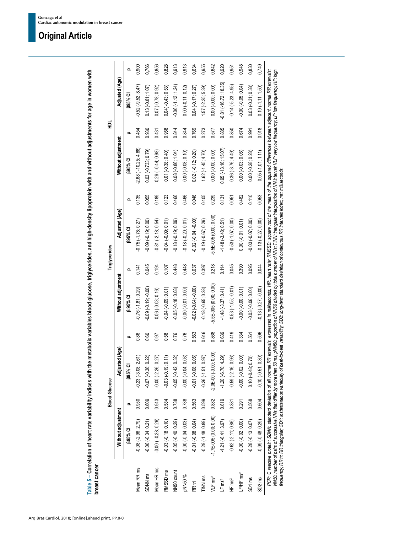|                       |                         |          | <b>Blood Glucose</b>      |       |                           |          | <b>Triglycerides</b>  |          |                          | 힢        |                        |  |
|-----------------------|-------------------------|----------|---------------------------|-------|---------------------------|----------|-----------------------|----------|--------------------------|----------|------------------------|--|
|                       | Without adjustment      |          | d (Age)<br>Adjuste        |       | Without adjustment        |          | Adjusted (Age)        |          | Without adjustment       |          | Adjusted (Age)         |  |
|                       | <b>895% CI</b>          | $\Omega$ | <b>B95% CI</b>            | Ω     | <b>B</b> 95% CI           | $\Omega$ | <b>B95% CI</b>        | $\Omega$ | <b>[35% CI</b>           | $\Omega$ | <b>12% S88</b>         |  |
| Mean RR ms            | $-0.08 (-2.96; 2.79)$   | 0.950    | $-0.23$ $(-3.08; 2.61)$   | 0.86  | $-0.76(-1.81, 0.29)$      | 0.141    | $-0.75(-1.78, 0.27)$  | 0.135    | $-2.68(-10.25; 4.88)$    | 0.454    | $-0.52(-9.52, 8.47)$   |  |
| SDNN <sub>ms</sub>    | $-0.06(-0.34; 0.21)$    | 0.609    | $-0.07 (-0.36; 0.22)$     | 0.60  | $0.09(-0.19, 0.00)$       | 0.045    | $-0.09(-0.19, 0.00)$  | 0.055    | $0.03(-0.733; 0.79)$     | 0.930    | $0.13(-0.81; 1.07)$    |  |
| Mean HR ms            | $-0.00(-0.28; 0.26)$    | 0.943    | $-0.00 (-2.26; 0.27)$     | 0.97  | $0.06(-0.03; 0.16)$       | 0.194    | $-0.81(-2.18; 0.54)$  | 0.189    | $0.26$ ( $-0.44$ ; 0.98) | 0.431    | $0.07$ (-0.78; 0.92)   |  |
| RMSSD <sub>ms</sub>   | $-0.03(-0.18; 0.10)$    | 0.584    | $-0.03(-0.19; 0.11)$      | 0.58  | $-0.04(-0.09, 0.01)$      | 0.107    | $-0.04 (-0.09; 0.01)$ | 0.123    | $0.01 (-0.38; 0.40)$     | 0.958    | $0.04(-0.43; 0.53)$    |  |
| NN50 count            | $-0.05(-0.40; 0.29)$    | 0.738    | $-0.05(-0.42; 0.32)$      | 0.76  | $-0.05(-0.18; 0.08)$      | 0.448    | $-0.18(-0.19; 0.09)$  | 0.466    | $0.08(-0.86; 1.04)$      | 0.844    | $-0.06(-1.12; 1.24)$   |  |
| pNN50%                | $-0.00(-0.04; 0.03)$    | 0.738    | $-0.00 (-0.04; 0.03)$     | 0.76  | $-0.00(-0.01; 0.00)$      | 0.448    | $0.18(-0.20; 0.01)$   | 0.466    | $0.00 (-0.08; 0.10)$     | 0.844    | $0.00(-0.11; 0.12)$    |  |
| RR tri                | $-0.01(-0.08; 0.04)$    | 0.563    | $-0.01 (-0.08; 0.05)$     | 0.563 | $-0.02(-0.04; -0.00)$     | 0.037    | $-0.02(-0.04; -0.00)$ | 0.046    | $0.02$ ( $-0.12$ ; 0.20) | 0.769    | $0.04 (-0.17; 0.27)$   |  |
| TINN <sub>ms</sub>    | $-0.29(-1.48; 0.89)$    | 0.599    | $-0.26(-1.51; 0.97)$      | 0.646 | $-0.18(-0.65; 0.28)$      | 0.397    | $-0.19(-0.67; 0.29)$  | 0.405    | $1.62$ (-1.45; 4.70)     | 0.273    | $1.57 (-2.25; 5.39)$   |  |
| VLF ms <sup>2</sup>   | $-1.7E-005(0.00; 0.00)$ | 0.882    | $-2.0E - 00(-0.00; 0.00)$ | 0.868 | $-5.5E - 005(0.00; 0.00)$ | 0.218    | 5.5E-005 (0.00; 0.00) | 0.239    | $0.00 (-0.00; 0.00)$     | 0.577    | $0.00 (-0.00; 0.00)$   |  |
| LF ms <sup>2</sup>    | $-1.21(-6.41; 3.97)$    | 0.619    | $-1.20(-6.70; 4.29)$      | 0.639 | $-1.48(-3.37; 0.41)$      | 0.114    | $-1.48(-3.48; 0.51)$  | 0.131    | $0.95$ (-13.16; 15.07)   | 0.885    | $-0.81(-16.72; 18.35)$ |  |
| HF ms <sup>2</sup>    | $-0.62$ $(-2.11; 0.86)$ | 0.381    | $-0.59(-2.16; 0.96)$      | 0.419 | $-0.53(-1.05; -0.01)$     | 0.045    | $-0.53(-1.07; 0.00)$  | 0.051    | $0.36(-3.76; 4.49)$      | 0.850    | $-0.14 (-5.23; 4.95)$  |  |
| LF/HF ms <sup>2</sup> | $-0.00(-0.02; 0.00)$    | 0.291    | $-0.00 (-0.02; 0.00)$     | 0.334 | $-0.00 (-0.00; 0.01)$     | 0.390    | $0.00 (-0.01; 0.01)$  | 0.482    | $0.00(-0.03; 0.05)$      | 0.674    | $-0.00 (-0.05; 0.04)$  |  |
| SD1 ms                | $-0.28(-0.13; 0.07)$    | 0.568    | $0.10 (-0.48; 0.70)$      | 0.561 | $-0.03(-0.06; 0.00)$      | 0.095    | $-0.03(-0.07; 0.00)$  | 0.110    | $0.00 (-0.28; 0.28)$     | 0.991    | $0.03(-0.31; 0.38)$    |  |
| SD <sub>2</sub> ms    | $-0.09(-0.48; 0.29)$    | 0.604    | $-0.10(-0.51; 0.30)$      | 0.596 | $-0.13(-0.27; -0.00)$     | 0.044    | $-0.13(-0.27; 0.00)$  | 0.053    | $0.05(-1.01; 1.11)$      | 0.918    | $0.19(-1.11; 1.50)$    |  |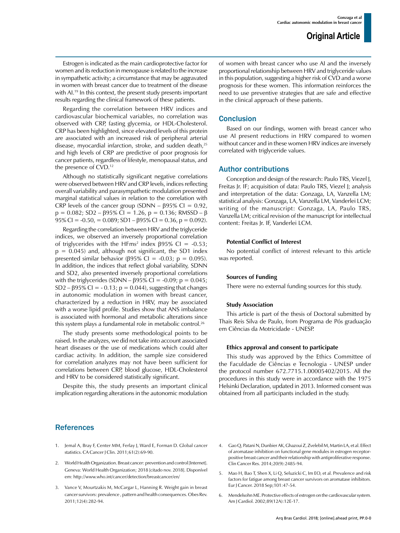Estrogen is indicated as the main cardioprotective factor for women and its reduction in menopause is related to the increase in sympathetic activity; a circumstance that may be aggravated in women with breast cancer due to treatment of the disease with AL<sup>19</sup> In this context, the present study presents important results regarding the clinical framework of these patients.

Regarding the correlation between HRV indices and cardiovascular biochemical variables, no correlation was observed with CRP, fasting glycemia, or HDL-Cholesterol. CRP has been highlighted, since elevated levels of this protein are associated with an increased risk of peripheral arterial disease, myocardial infarction, stroke, and sudden death,<sup>25</sup> and high levels of CRP are predictive of poor prognosis for cancer patients, regardless of lifestyle, menopausal status, and the presence of CVD.12

Although no statistically significant negative correlations were observed between HRV and CRP levels, indices reflecting overall variability and parasympathetic modulation presented marginal statistical values in relation to the correlation with CRP levels of the cancer group (SDNN –  $\beta$ 95% CI = 0.92,  $p = 0.082$ ; SD2 –  $\beta$ 95% CI = 1.26, p = 0.136; RMSSD –  $\beta$ 95% CI = -0.50, = 0.089; SD1 – β95% CI = 0.36, p = 0.092).

Regarding the correlation between HRV and the triglyceride indices, we observed an inversely proportional correlation of triglycerides with the HFms<sup>2</sup> index  $\beta$ 95% CI = -0.53;  $p = 0.045$ ) and, although not significant, the SD1 index presented similar behavior (β95% CI = -0.03; p = 0.095). In addition, the indices that reflect global variability, SDNN and SD2, also presented inversely proportional correlations with the triglycerides (SDNN –  $\beta$ 95% CI = -0.09; p = 0.045; SD2 –  $\beta$ 95% CI = -0.13; p = 0.044), suggesting that changes in autonomic modulation in women with breast cancer, characterized by a reduction in HRV, may be associated with a worse lipid profile. Studies show that ANS imbalance is associated with hormonal and metabolic alterations since this system plays a fundamental role in metabolic control.26

The study presents some methodological points to be raised. In the analyzes, we did not take into account associated heart diseases or the use of medications which could alter cardiac activity. In addition, the sample size considered for correlation analyzes may not have been sufficient for correlations between CRP, blood glucose, HDL-Cholesterol and HRV to be considered statistically significant.

Despite this, the study presents an important clinical implication regarding alterations in the autonomic modulation of women with breast cancer who use AI and the inversely proportional relationship between HRV and triglyceride values in this population, suggesting a higher risk of CVD and a worse prognosis for these women. This information reinforces the need to use preventive strategies that are safe and effective in the clinical approach of these patients.

## **Conclusion**

Based on our findings, women with breast cancer who use AI present reductions in HRV compared to women without cancer and in these women HRV indices are inversely correlated with triglyceride values.

## Author contributions

Conception and design of the research: Paulo TRS, Viezel J, Freitas Jr. IF; acquisition of data: Paulo TRS, Viezel J; analysis and interpretation of the data: Gonzaga, LA, Vanzella LM; statistical analysis: Gonzaga, LA, Vanzella LM, Vanderlei LCM; writing of the manuscript: Gonzaga, LA, Paulo TRS, Vanzella LM; critical revision of the manuscript for intellectual content: Freitas Jr. IF, Vanderlei LCM.

## **Potential Conflict of Interest**

No potential conflict of interest relevant to this article was reported.

## **Sources of Funding**

There were no external funding sources for this study.

#### **Study Association**

This article is part of the thesis of Doctoral submitted by Thais Reis Silva de Paulo, from Programa de Pós graduação em Ciências da Motricidade - UNESP.

#### **Ethics approval and consent to participate**

This study was approved by the Ethics Committee of the Faculdade de Ciências e Tecnologia - UNESP under the protocol number 672.7715.1.00005402/2015. All the procedures in this study were in accordance with the 1975 Helsinki Declaration, updated in 2013. Informed consent was obtained from all participants included in the study.

## **References**

- 1. Jemal A, Bray F, Center MM, Ferlay J, Ward E, Forman D. Global cancer statistics. CA Cancer J Clin. 2011;61(2):69-90.
- 2. World Health Organization. Breast cancer: prevention and control [Internet]. Geneva: World Health Organization; 2018 [citado nov. 2018]. Disponível em: http://www.who.int/cancer/detection/breastcancer/en/
- 3. Vance V, Mourtzakis M, McCargar L, Hanning R. Weight gain in breast cancer survivors: prevalence , pattern and health consequences. Obes Rev. 2011;12(4):282-94.
- 4. Gao Q, Patani N, Dunbier AK, Ghazoui Z, Zvelebil M, Martin LA, et al. Effect of aromatase inhibition on functional gene modules in estrogen receptorpositive breast cancer and their relationship with antiproliferative response. Clin Cancer Res. 2014;20(9):2485-94.
- 5. Mao H, Bao T, Shen X, Li Q, Seluzicki C, Im EO, et al. Prevalence and risk factors for fatigue among breast cancer survivors on aromatase inhibitors. Eur J Cancer. 2018 Sep;101:47-54.
- Mendelsohn ME. Protective effects of estrogen on the cardiovascular system. Am J Cardiol. 2002;89(12A):12E-17.